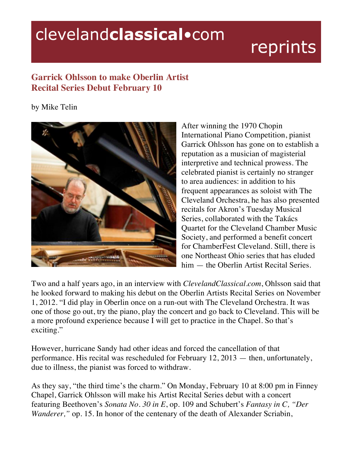## clevelandclassical.com

## reprints

## **Garrick Ohlsson to make Oberlin Artist Recital Series Debut February 10**

by Mike Telin



After winning the 1970 Chopin International Piano Competition, pianist Garrick Ohlsson has gone on to establish a reputation as a musician of magisterial interpretive and technical prowess. The celebrated pianist is certainly no stranger to area audiences: in addition to his frequent appearances as soloist with The Cleveland Orchestra, he has also presented recitals for Akron's Tuesday Musical Series, collaborated with the Takács Quartet for the Cleveland Chamber Music Society, and performed a benefit concert for ChamberFest Cleveland. Still, there is one Northeast Ohio series that has eluded him — the Oberlin Artist Recital Series.

Two and a half years ago, in an interview with *ClevelandClassical.com*, Ohlsson said that he looked forward to making his debut on the Oberlin Artists Recital Series on November 1, 2012. "I did play in Oberlin once on a run-out with The Cleveland Orchestra. It was one of those go out, try the piano, play the concert and go back to Cleveland. This will be a more profound experience because I will get to practice in the Chapel. So that's exciting."

However, hurricane Sandy had other ideas and forced the cancellation of that performance. His recital was rescheduled for February 12, 2013 — then, unfortunately, due to illness, the pianist was forced to withdraw.

As they say, "the third time's the charm." On Monday, February 10 at 8:00 pm in Finney Chapel, Garrick Ohlsson will make his Artist Recital Series debut with a concert featuring Beethoven's *Sonata No. 30 in E*, op. 109 and Schubert's *Fantasy in C, "Der Wanderer*," op. 15. In honor of the centenary of the death of Alexander Scriabin,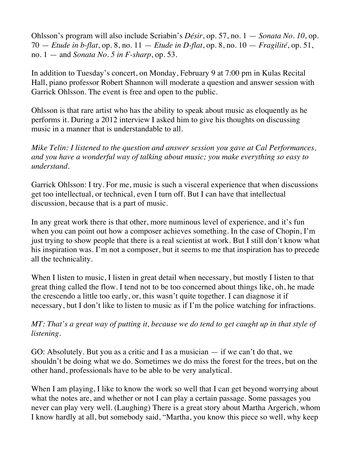Ohlsson's program will also include Scriabin's *Désir*, op. 57, no. 1 — *Sonata No. 10*, op. 70 — *Etude in b-flat*, op. 8, no. 11 — *Etude in D-flat*, op. 8, no. 10 — *Fragilité*, op. 51, no. 1 — and *Sonata No. 5 in F-sharp*, op. 53.

In addition to Tuesday's concert, on Monday, February 9 at 7:00 pm in Kulas Recital Hall, piano professor Robert Shannon will moderate a question and answer session with Garrick Ohlsson. The event is free and open to the public.

Ohlsson is that rare artist who has the ability to speak about music as eloquently as he performs it. During a 2012 interview I asked him to give his thoughts on discussing music in a manner that is understandable to all.

*Mike Telin: I listened to the question and answer session you gave at Cal Performances, and you have a wonderful way of talking about music; you make everything so easy to understand.*

Garrick Ohlsson: I try. For me, music is such a visceral experience that when discussions get too intellectual, or technical, even I turn off. But I can have that intellectual discussion, because that is a part of music.

In any great work there is that other, more numinous level of experience, and it's fun when you can point out how a composer achieves something. In the case of Chopin, I'm just trying to show people that there is a real scientist at work. But I still don't know what his inspiration was. I'm not a composer, but it seems to me that inspiration has to precede all the technicality.

When I listen to music, I listen in great detail when necessary, but mostly I listen to that great thing called the flow. I tend not to be too concerned about things like, oh, he made the crescendo a little too early, or, this wasn't quite together. I can diagnose it if necessary, but I don't like to listen to music as if I'm the police watching for infractions.

## *MT: That's a great way of putting it, because we do tend to get caught up in that style of listening.*

GO: Absolutely. But you as a critic and I as a musician — if we can't do that, we shouldn't be doing what we do. Sometimes we do miss the forest for the trees, but on the other hand, professionals have to be able to be very analytical.

When I am playing, I like to know the work so well that I can get beyond worrying about what the notes are, and whether or not I can play a certain passage. Some passages you never can play very well. (Laughing) There is a great story about Martha Argerich, whom I know hardly at all, but somebody said, "Martha, you know this piece so well, why keep